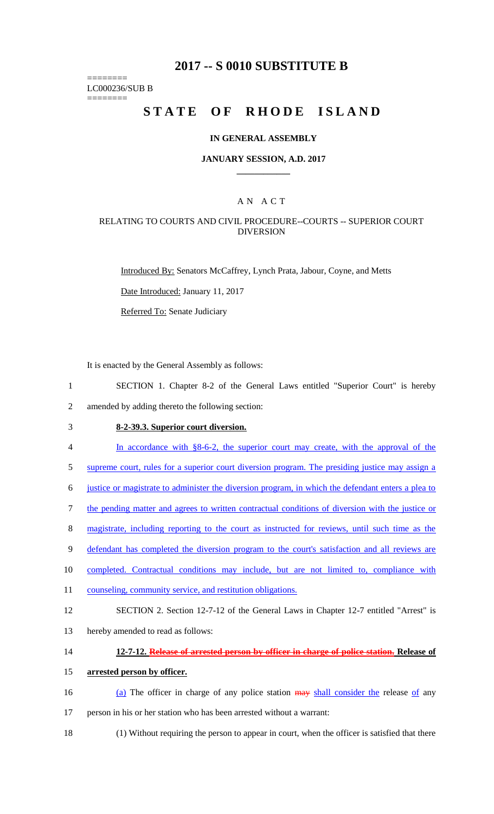# **2017 -- S 0010 SUBSTITUTE B**

======== LC000236/SUB B

========

# **STATE OF RHODE ISLAND**

#### **IN GENERAL ASSEMBLY**

#### **JANUARY SESSION, A.D. 2017 \_\_\_\_\_\_\_\_\_\_\_\_**

### A N A C T

### RELATING TO COURTS AND CIVIL PROCEDURE--COURTS -- SUPERIOR COURT DIVERSION

Introduced By: Senators McCaffrey, Lynch Prata, Jabour, Coyne, and Metts

Date Introduced: January 11, 2017

Referred To: Senate Judiciary

It is enacted by the General Assembly as follows:

- 1 SECTION 1. Chapter 8-2 of the General Laws entitled "Superior Court" is hereby 2 amended by adding thereto the following section:
- 

# 3 **8-2-39.3. Superior court diversion.**

- 4 In accordance with §8-6-2, the superior court may create, with the approval of the
- 5 supreme court, rules for a superior court diversion program. The presiding justice may assign a
- 6 justice or magistrate to administer the diversion program, in which the defendant enters a plea to
- 7 the pending matter and agrees to written contractual conditions of diversion with the justice or
- 8 magistrate, including reporting to the court as instructed for reviews, until such time as the
- 9 defendant has completed the diversion program to the court's satisfaction and all reviews are
- 10 completed. Contractual conditions may include, but are not limited to, compliance with
- 11 counseling, community service, and restitution obligations.
- 12 SECTION 2. Section 12-7-12 of the General Laws in Chapter 12-7 entitled "Arrest" is
- 13 hereby amended to read as follows:

### 14 **12-7-12. Release of arrested person by officer in charge of police station. Release of**

#### 15 **arrested person by officer.**

- 16 (a) The officer in charge of any police station  $\frac{1}{2}$  may shall consider the release of any 17 person in his or her station who has been arrested without a warrant:
- 18 (1) Without requiring the person to appear in court, when the officer is satisfied that there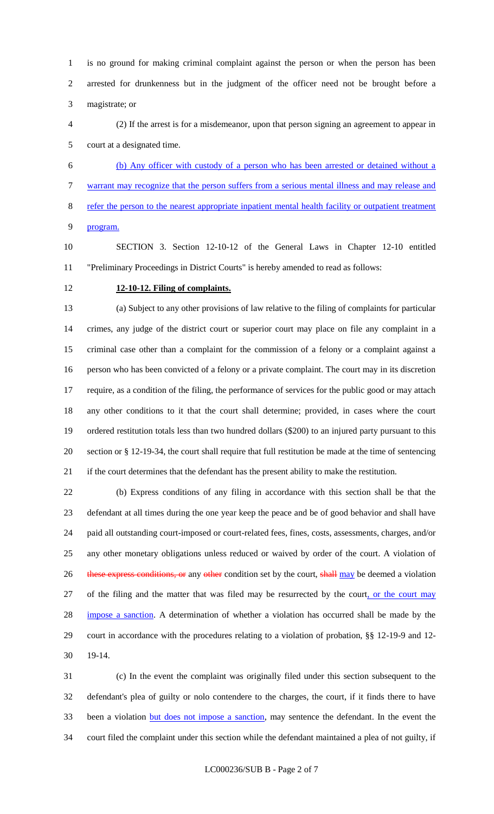is no ground for making criminal complaint against the person or when the person has been arrested for drunkenness but in the judgment of the officer need not be brought before a magistrate; or

 (2) If the arrest is for a misdemeanor, upon that person signing an agreement to appear in court at a designated time.

 (b) Any officer with custody of a person who has been arrested or detained without a warrant may recognize that the person suffers from a serious mental illness and may release and refer the person to the nearest appropriate inpatient mental health facility or outpatient treatment program.

 SECTION 3. Section 12-10-12 of the General Laws in Chapter 12-10 entitled "Preliminary Proceedings in District Courts" is hereby amended to read as follows:

### **12-10-12. Filing of complaints.**

 (a) Subject to any other provisions of law relative to the filing of complaints for particular crimes, any judge of the district court or superior court may place on file any complaint in a criminal case other than a complaint for the commission of a felony or a complaint against a person who has been convicted of a felony or a private complaint. The court may in its discretion require, as a condition of the filing, the performance of services for the public good or may attach any other conditions to it that the court shall determine; provided, in cases where the court ordered restitution totals less than two hundred dollars (\$200) to an injured party pursuant to this section or § 12-19-34, the court shall require that full restitution be made at the time of sentencing if the court determines that the defendant has the present ability to make the restitution.

 (b) Express conditions of any filing in accordance with this section shall be that the defendant at all times during the one year keep the peace and be of good behavior and shall have paid all outstanding court-imposed or court-related fees, fines, costs, assessments, charges, and/or any other monetary obligations unless reduced or waived by order of the court. A violation of 26 these express conditions, or any other condition set by the court, shall may be deemed a violation of the filing and the matter that was filed may be resurrected by the court, or the court may 28 impose a sanction. A determination of whether a violation has occurred shall be made by the court in accordance with the procedures relating to a violation of probation, §§ 12-19-9 and 12- 19-14.

 (c) In the event the complaint was originally filed under this section subsequent to the defendant's plea of guilty or nolo contendere to the charges, the court, if it finds there to have been a violation but does not impose a sanction, may sentence the defendant. In the event the court filed the complaint under this section while the defendant maintained a plea of not guilty, if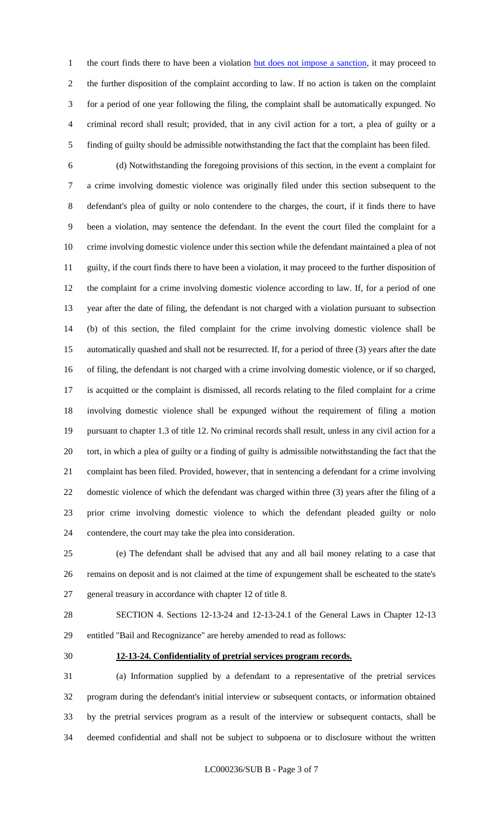1 the court finds there to have been a violation but does not impose a sanction, it may proceed to the further disposition of the complaint according to law. If no action is taken on the complaint for a period of one year following the filing, the complaint shall be automatically expunged. No criminal record shall result; provided, that in any civil action for a tort, a plea of guilty or a finding of guilty should be admissible notwithstanding the fact that the complaint has been filed.

 (d) Notwithstanding the foregoing provisions of this section, in the event a complaint for a crime involving domestic violence was originally filed under this section subsequent to the defendant's plea of guilty or nolo contendere to the charges, the court, if it finds there to have been a violation, may sentence the defendant. In the event the court filed the complaint for a crime involving domestic violence under this section while the defendant maintained a plea of not guilty, if the court finds there to have been a violation, it may proceed to the further disposition of the complaint for a crime involving domestic violence according to law. If, for a period of one year after the date of filing, the defendant is not charged with a violation pursuant to subsection (b) of this section, the filed complaint for the crime involving domestic violence shall be automatically quashed and shall not be resurrected. If, for a period of three (3) years after the date of filing, the defendant is not charged with a crime involving domestic violence, or if so charged, is acquitted or the complaint is dismissed, all records relating to the filed complaint for a crime involving domestic violence shall be expunged without the requirement of filing a motion pursuant to chapter 1.3 of title 12. No criminal records shall result, unless in any civil action for a tort, in which a plea of guilty or a finding of guilty is admissible notwithstanding the fact that the complaint has been filed. Provided, however, that in sentencing a defendant for a crime involving domestic violence of which the defendant was charged within three (3) years after the filing of a prior crime involving domestic violence to which the defendant pleaded guilty or nolo contendere, the court may take the plea into consideration.

 (e) The defendant shall be advised that any and all bail money relating to a case that remains on deposit and is not claimed at the time of expungement shall be escheated to the state's general treasury in accordance with chapter 12 of title 8.

 SECTION 4. Sections 12-13-24 and 12-13-24.1 of the General Laws in Chapter 12-13 entitled "Bail and Recognizance" are hereby amended to read as follows:

#### **12-13-24. Confidentiality of pretrial services program records.**

 (a) Information supplied by a defendant to a representative of the pretrial services program during the defendant's initial interview or subsequent contacts, or information obtained by the pretrial services program as a result of the interview or subsequent contacts, shall be deemed confidential and shall not be subject to subpoena or to disclosure without the written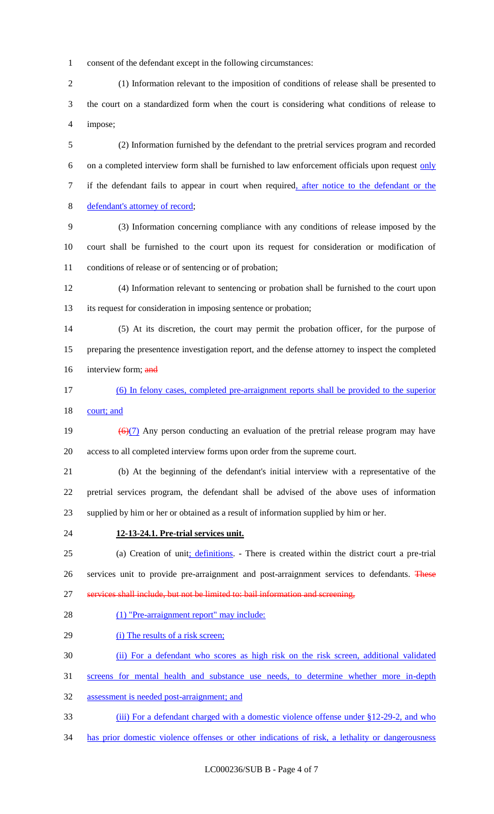consent of the defendant except in the following circumstances:

 (1) Information relevant to the imposition of conditions of release shall be presented to the court on a standardized form when the court is considering what conditions of release to impose;

 (2) Information furnished by the defendant to the pretrial services program and recorded 6 on a completed interview form shall be furnished to law enforcement officials upon request  $\frac{only}{}$ 7 if the defendant fails to appear in court when required, after notice to the defendant or the defendant's attorney of record;

 (3) Information concerning compliance with any conditions of release imposed by the court shall be furnished to the court upon its request for consideration or modification of conditions of release or of sentencing or of probation;

 (4) Information relevant to sentencing or probation shall be furnished to the court upon its request for consideration in imposing sentence or probation;

 (5) At its discretion, the court may permit the probation officer, for the purpose of preparing the presentence investigation report, and the defense attorney to inspect the completed 16 interview form; and

 (6) In felony cases, completed pre-arraignment reports shall be provided to the superior 18 court; and

19  $\left(\frac{6}{1}\right)$  Any person conducting an evaluation of the pretrial release program may have access to all completed interview forms upon order from the supreme court.

 (b) At the beginning of the defendant's initial interview with a representative of the pretrial services program, the defendant shall be advised of the above uses of information supplied by him or her or obtained as a result of information supplied by him or her.

#### **12-13-24.1. Pre-trial services unit.**

 (a) Creation of unit; definitions. - There is created within the district court a pre-trial 26 services unit to provide pre-arraignment and post-arraignment services to defendants. These 27 services shall include, but not be limited to: bail information and screening,

28 (1) "Pre-arraignment report" may include:

29 (i) The results of a risk screen;

(ii) For a defendant who scores as high risk on the risk screen, additional validated

screens for mental health and substance use needs, to determine whether more in-depth

assessment is needed post-arraignment; and

33 (iii) For a defendant charged with a domestic violence offense under §12-29-2, and who

has prior domestic violence offenses or other indications of risk, a lethality or dangerousness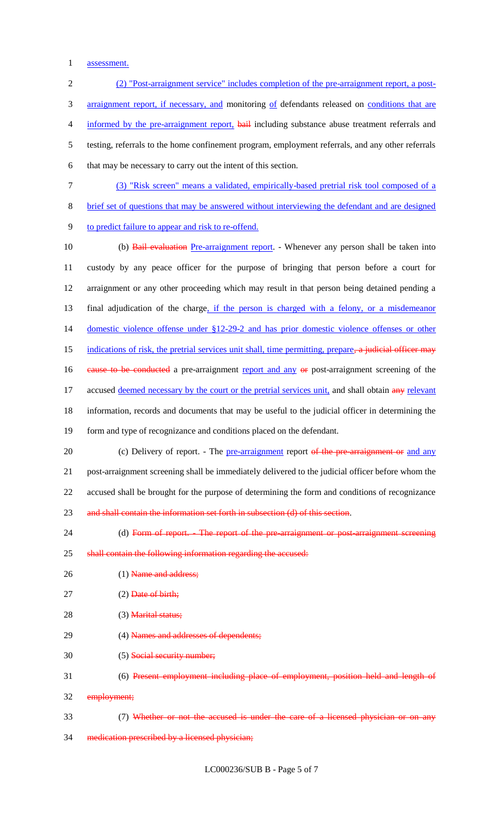1 assessment.

2 (2) "Post-arraignment service" includes completion of the pre-arraignment report, a post-3 arraignment report, if necessary, and monitoring of defendants released on conditions that are 4 informed by the pre-arraignment report, bail including substance abuse treatment referrals and 5 testing, referrals to the home confinement program, employment referrals, and any other referrals 6 that may be necessary to carry out the intent of this section. 7 (3) "Risk screen" means a validated, empirically-based pretrial risk tool composed of a 8 brief set of questions that may be answered without interviewing the defendant and are designed 9 to predict failure to appear and risk to re-offend. 10 (b) Bail evaluation Pre-arraignment report. - Whenever any person shall be taken into 11 custody by any peace officer for the purpose of bringing that person before a court for 12 arraignment or any other proceeding which may result in that person being detained pending a 13 final adjudication of the charge, if the person is charged with a felony, or a misdemeanor 14 domestic violence offense under §12-29-2 and has prior domestic violence offenses or other 15 indications of risk, the pretrial services unit shall, time permitting, prepare, a judicial officer may 16 cause to be conducted a pre-arraignment report and any or post-arraignment screening of the 17 accused deemed necessary by the court or the pretrial services unit, and shall obtain any relevant 18 information, records and documents that may be useful to the judicial officer in determining the 19 form and type of recognizance and conditions placed on the defendant. 20 (c) Delivery of report. - The pre-arraignment report of the pre-arraignment or and any 21 post-arraignment screening shall be immediately delivered to the judicial officer before whom the 22 accused shall be brought for the purpose of determining the form and conditions of recognizance 23 and shall contain the information set forth in subsection (d) of this section. 24 (d) Form of report. - The report of the pre-arraignment or post-arraignment screening 25 shall contain the following information regarding the accused: 26 (1) Name and address; 27 (2) Date of birth; 28 (3) **Marital status**; 29 (4) Names and addresses of dependents; 30 (5) Social security number; 31 (6) Present employment including place of employment, position held and length of 32 employment; 33 (7) Whether or not the accused is under the care of a licensed physician or on any

34 medication prescribed by a licensed physician;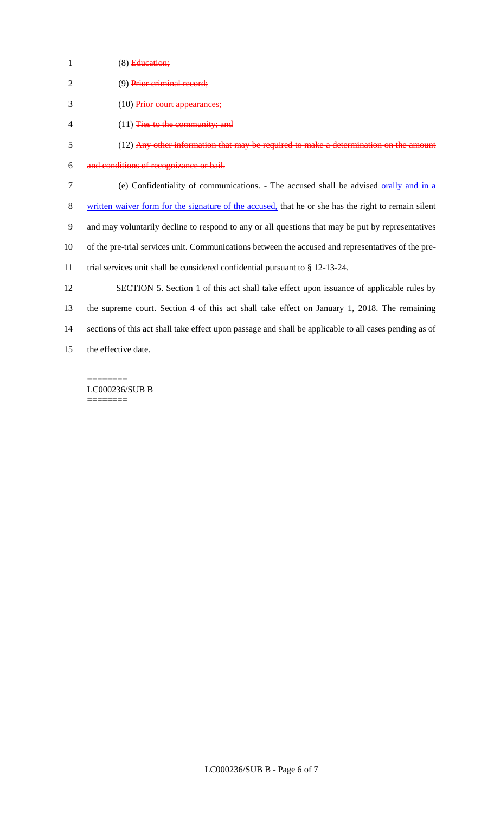1 (8) Education;

| (9) Prior criminal record; |
|----------------------------|
|                            |

- (10) Prior court appearances;
- (11) Ties to the community; and
- (12) Any other information that may be required to make a determination on the amount
- and conditions of recognizance or bail.
- 7 (e) Confidentiality of communications. The accused shall be advised orally and in a
- 8 written waiver form for the signature of the accused, that he or she has the right to remain silent
- and may voluntarily decline to respond to any or all questions that may be put by representatives
- of the pre-trial services unit. Communications between the accused and representatives of the pre-
- trial services unit shall be considered confidential pursuant to § 12-13-24.

 SECTION 5. Section 1 of this act shall take effect upon issuance of applicable rules by the supreme court. Section 4 of this act shall take effect on January 1, 2018. The remaining sections of this act shall take effect upon passage and shall be applicable to all cases pending as of the effective date.

======== LC000236/SUB B ========